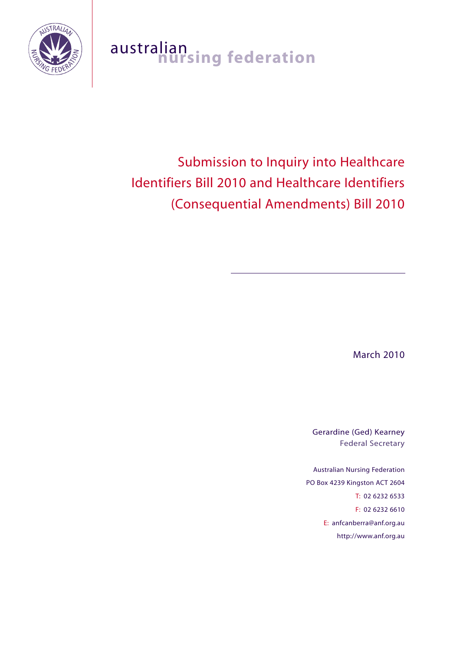

# australian<br>**nursing federation**

# Submission to Inquiry into Healthcare Identifiers Bill 2010 and Healthcare Identifiers (Consequential Amendments) Bill 2010

March 2010

Gerardine (Ged) Kearney Federal Secretary

Australian Nursing Federation PO Box 4239 Kingston ACT 2604 T: 02 6232 6533 F: 02 6232 6610 E: anfcanberra@anf.org.au http://www.anf.org.au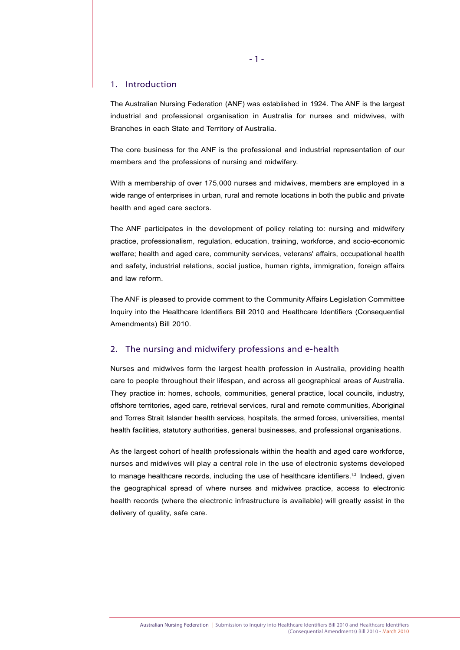#### 1. Introduction

The Australian Nursing Federation (ANF) was established in 1924. The ANF is the largest industrial and professional organisation in Australia for nurses and midwives, with Branches in each State and Territory of Australia.

The core business for the ANF is the professional and industrial representation of our members and the professions of nursing and midwifery.

With a membership of over 175,000 nurses and midwives, members are employed in a wide range of enterprises in urban, rural and remote locations in both the public and private health and aged care sectors.

The ANF participates in the development of policy relating to: nursing and midwifery practice, professionalism, regulation, education, training, workforce, and socio-economic welfare; health and aged care, community services, veterans' affairs, occupational health and safety, industrial relations, social justice, human rights, immigration, foreign affairs and law reform.

The ANF is pleased to provide comment to the Community Affairs Legislation Committee Inquiry into the Healthcare Identifiers Bill 2010 and Healthcare Identifiers (Consequential Amendments) Bill 2010.

## 2. The nursing and midwifery professions and e-health

Nurses and midwives form the largest health profession in Australia, providing health care to people throughout their lifespan, and across all geographical areas of Australia. They practice in: homes, schools, communities, general practice, local councils, industry, offshore territories, aged care, retrieval services, rural and remote communities, Aboriginal and Torres Strait Islander health services, hospitals, the armed forces, universities, mental health facilities, statutory authorities, general businesses, and professional organisations.

As the largest cohort of health professionals within the health and aged care workforce, nurses and midwives will play a central role in the use of electronic systems developed to manage healthcare records, including the use of healthcare identifiers.<sup>1,2</sup> Indeed, given the geographical spread of where nurses and midwives practice, access to electronic health records (where the electronic infrastructure is available) will greatly assist in the delivery of quality, safe care.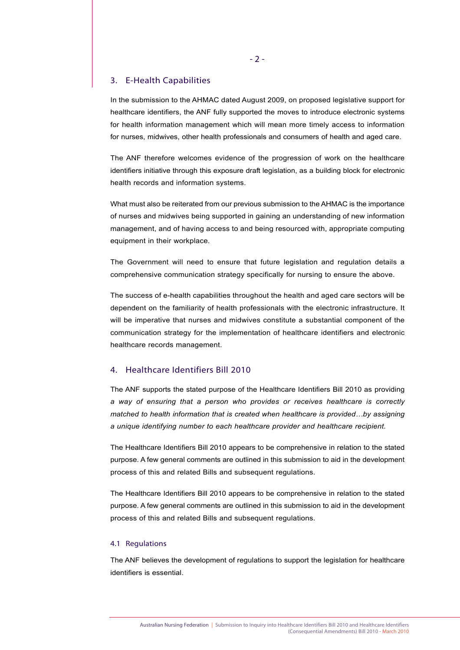# 3. E-Health Capabilities

In the submission to the AHMAC dated August 2009, on proposed legislative support for healthcare identifiers, the ANF fully supported the moves to introduce electronic systems for health information management which will mean more timely access to information for nurses, midwives, other health professionals and consumers of health and aged care.

The ANF therefore welcomes evidence of the progression of work on the healthcare identifiers initiative through this exposure draft legislation, as a building block for electronic health records and information systems.

What must also be reiterated from our previous submission to the AHMAC is the importance of nurses and midwives being supported in gaining an understanding of new information management, and of having access to and being resourced with, appropriate computing equipment in their workplace.

The Government will need to ensure that future legislation and regulation details a comprehensive communication strategy specifically for nursing to ensure the above.

The success of e-health capabilities throughout the health and aged care sectors will be dependent on the familiarity of health professionals with the electronic infrastructure. It will be imperative that nurses and midwives constitute a substantial component of the communication strategy for the implementation of healthcare identifiers and electronic healthcare records management.

# 4. Healthcare Identifiers Bill 2010

The ANF supports the stated purpose of the Healthcare Identifiers Bill 2010 as providing *a way of ensuring that a person who provides or receives healthcare is correctly matched to health information that is created when healthcare is provided…by assigning a unique identifying number to each healthcare provider and healthcare recipient.* 

The Healthcare Identifiers Bill 2010 appears to be comprehensive in relation to the stated purpose. A few general comments are outlined in this submission to aid in the development process of this and related Bills and subsequent regulations.

The Healthcare Identifiers Bill 2010 appears to be comprehensive in relation to the stated purpose. A few general comments are outlined in this submission to aid in the development process of this and related Bills and subsequent regulations.

#### 4.1 Regulations

The ANF believes the development of regulations to support the legislation for healthcare identifiers is essential.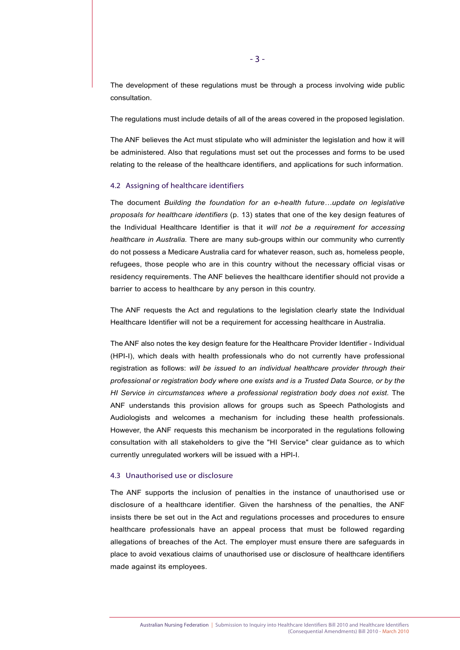The development of these regulations must be through a process involving wide public consultation.

The regulations must include details of all of the areas covered in the proposed legislation.

The ANF believes the Act must stipulate who will administer the legislation and how it will be administered. Also that regulations must set out the processes and forms to be used relating to the release of the healthcare identifiers, and applications for such information.

#### 4.2 Assigning of healthcare identifiers

The document *Building the foundation for an e-health future…update on legislative proposals for healthcare identifiers* (p. 13) states that one of the key design features of the Individual Healthcare Identifier is that it *will not be a requirement for accessing healthcare in Australia.* There are many sub-groups within our community who currently do not possess a Medicare Australia card for whatever reason, such as, homeless people, refugees, those people who are in this country without the necessary official visas or residency requirements. The ANF believes the healthcare identifier should not provide a barrier to access to healthcare by any person in this country.

The ANF requests the Act and regulations to the legislation clearly state the Individual Healthcare Identifier will not be a requirement for accessing healthcare in Australia.

The ANF also notes the key design feature for the Healthcare Provider Identifier - Individual (HPI-I), which deals with health professionals who do not currently have professional registration as follows: *will be issued to an individual healthcare provider through their professional or registration body where one exists and is a Trusted Data Source, or by the HI Service in circumstances where a professional registration body does not exist.* The ANF understands this provision allows for groups such as Speech Pathologists and Audiologists and welcomes a mechanism for including these health professionals. However, the ANF requests this mechanism be incorporated in the regulations following consultation with all stakeholders to give the "HI Service" clear guidance as to which currently unregulated workers will be issued with a HPI-I.

#### 4.3 Unauthorised use or disclosure

The ANF supports the inclusion of penalties in the instance of unauthorised use or disclosure of a healthcare identifier. Given the harshness of the penalties, the ANF insists there be set out in the Act and regulations processes and procedures to ensure healthcare professionals have an appeal process that must be followed regarding allegations of breaches of the Act. The employer must ensure there are safeguards in place to avoid vexatious claims of unauthorised use or disclosure of healthcare identifiers made against its employees.